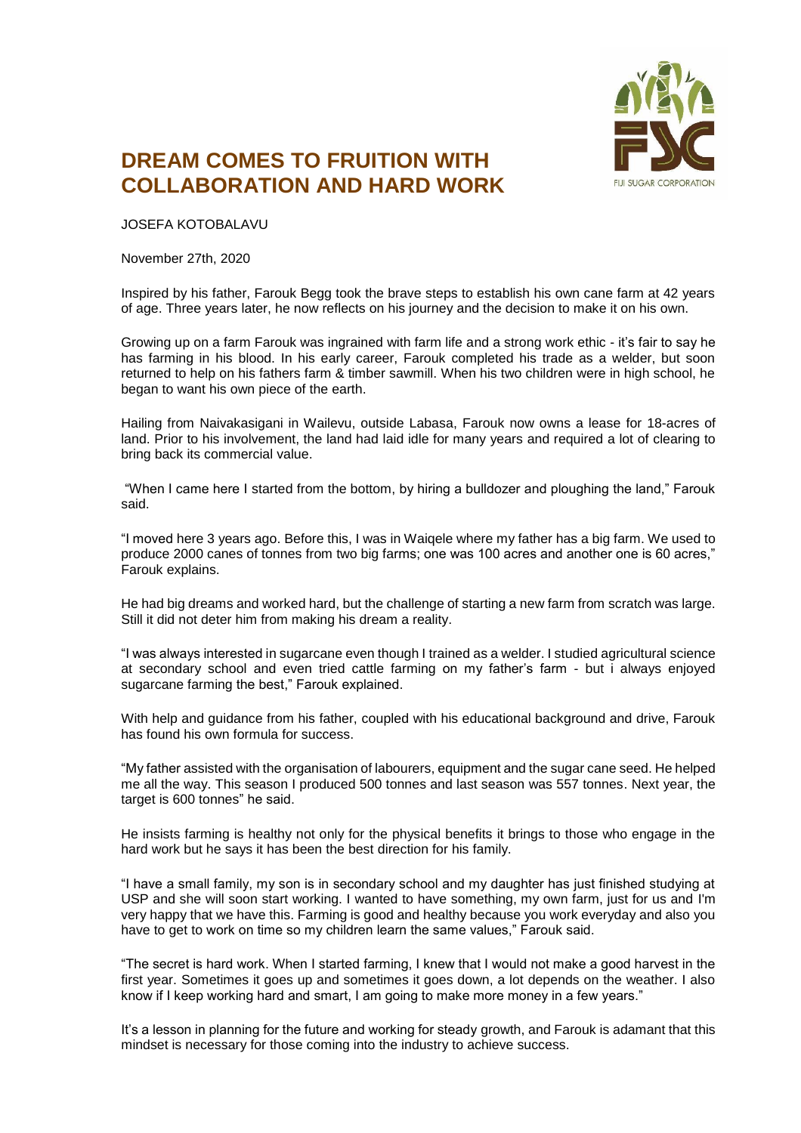

## **DREAM COMES TO FRUITION WITH COLLABORATION AND HARD WORK**

JOSEFA KOTOBALAVU

November 27th, 2020

Inspired by his father, Farouk Begg took the brave steps to establish his own cane farm at 42 years of age. Three years later, he now reflects on his journey and the decision to make it on his own.

Growing up on a farm Farouk was ingrained with farm life and a strong work ethic - it's fair to say he has farming in his blood. In his early career, Farouk completed his trade as a welder, but soon returned to help on his fathers farm & timber sawmill. When his two children were in high school, he began to want his own piece of the earth.

Hailing from Naivakasigani in Wailevu, outside Labasa, Farouk now owns a lease for 18-acres of land. Prior to his involvement, the land had laid idle for many years and required a lot of clearing to bring back its commercial value.

"When I came here I started from the bottom, by hiring a bulldozer and ploughing the land," Farouk said.

"I moved here 3 years ago. Before this, I was in Waiqele where my father has a big farm. We used to produce 2000 canes of tonnes from two big farms; one was 100 acres and another one is 60 acres," Farouk explains.

He had big dreams and worked hard, but the challenge of starting a new farm from scratch was large. Still it did not deter him from making his dream a reality.

"I was always interested in sugarcane even though I trained as a welder. I studied agricultural science at secondary school and even tried cattle farming on my father's farm - but i always enjoyed sugarcane farming the best," Farouk explained.

With help and guidance from his father, coupled with his educational background and drive, Farouk has found his own formula for success.

"My father assisted with the organisation of labourers, equipment and the sugar cane seed. He helped me all the way. This season I produced 500 tonnes and last season was 557 tonnes. Next year, the target is 600 tonnes" he said.

He insists farming is healthy not only for the physical benefits it brings to those who engage in the hard work but he says it has been the best direction for his family.

"I have a small family, my son is in secondary school and my daughter has just finished studying at USP and she will soon start working. I wanted to have something, my own farm, just for us and I'm very happy that we have this. Farming is good and healthy because you work everyday and also you have to get to work on time so my children learn the same values," Farouk said.

"The secret is hard work. When I started farming, I knew that I would not make a good harvest in the first year. Sometimes it goes up and sometimes it goes down, a lot depends on the weather. I also know if I keep working hard and smart, I am going to make more money in a few years."

It's a lesson in planning for the future and working for steady growth, and Farouk is adamant that this mindset is necessary for those coming into the industry to achieve success.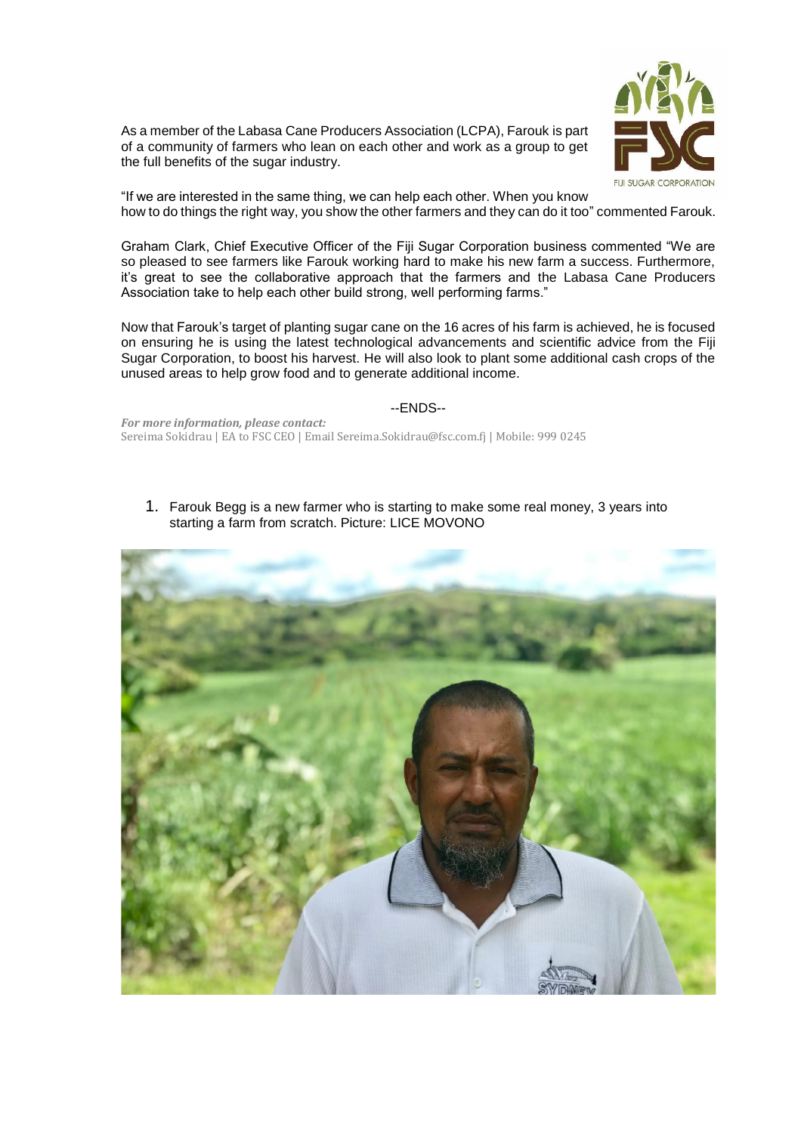As a member of the Labasa Cane Producers Association (LCPA), Farouk is part of a community of farmers who lean on each other and work as a group to get the full benefits of the sugar industry.



"If we are interested in the same thing, we can help each other. When you know how to do things the right way, you show the other farmers and they can do it too" commented Farouk.

Graham Clark, Chief Executive Officer of the Fiji Sugar Corporation business commented "We are so pleased to see farmers like Farouk working hard to make his new farm a success. Furthermore, it's great to see the collaborative approach that the farmers and the Labasa Cane Producers Association take to help each other build strong, well performing farms."

Now that Farouk's target of planting sugar cane on the 16 acres of his farm is achieved, he is focused on ensuring he is using the latest technological advancements and scientific advice from the Fiji Sugar Corporation, to boost his harvest. He will also look to plant some additional cash crops of the unused areas to help grow food and to generate additional income.

## --ENDS--

*For more information, please contact:* Sereima Sokidrau | EA to FSC CEO | Email Sereima.Sokidrau@fsc.com.fj | Mobile: 999 0245

1. Farouk Begg is a new farmer who is starting to make some real money, 3 years into starting a farm from scratch. Picture: LICE MOVONO